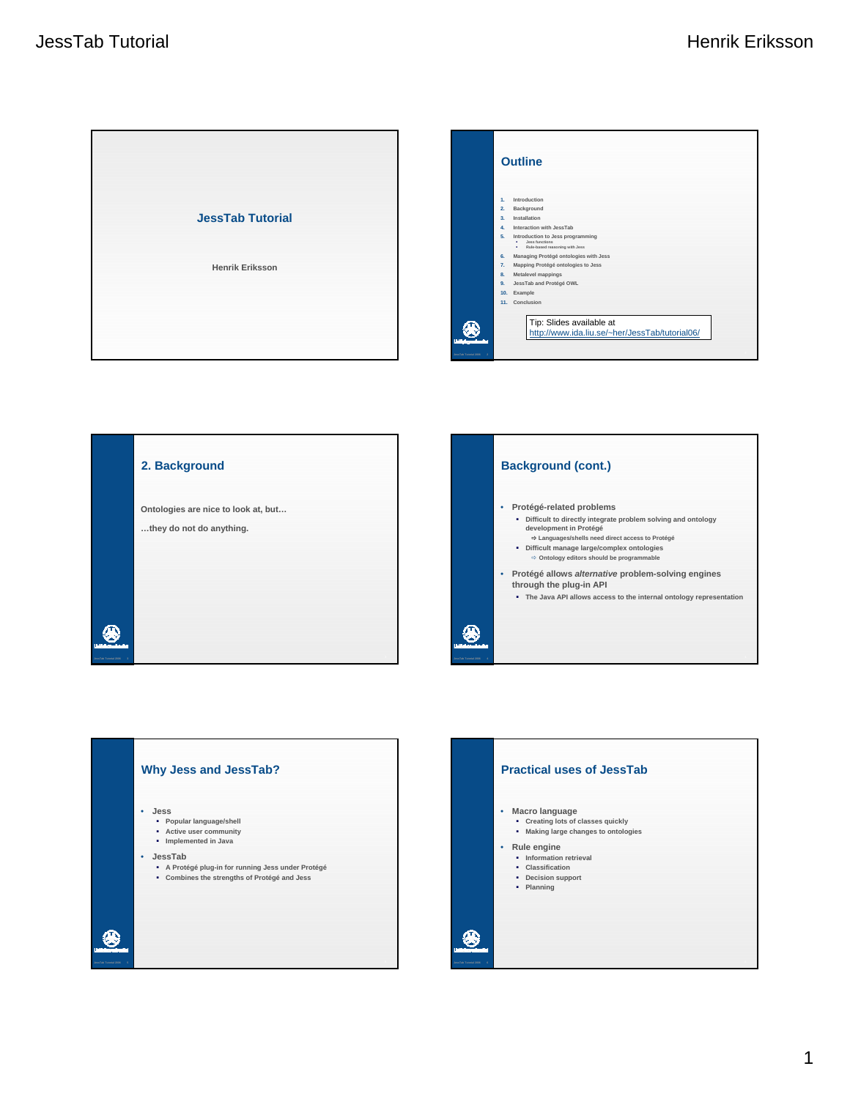





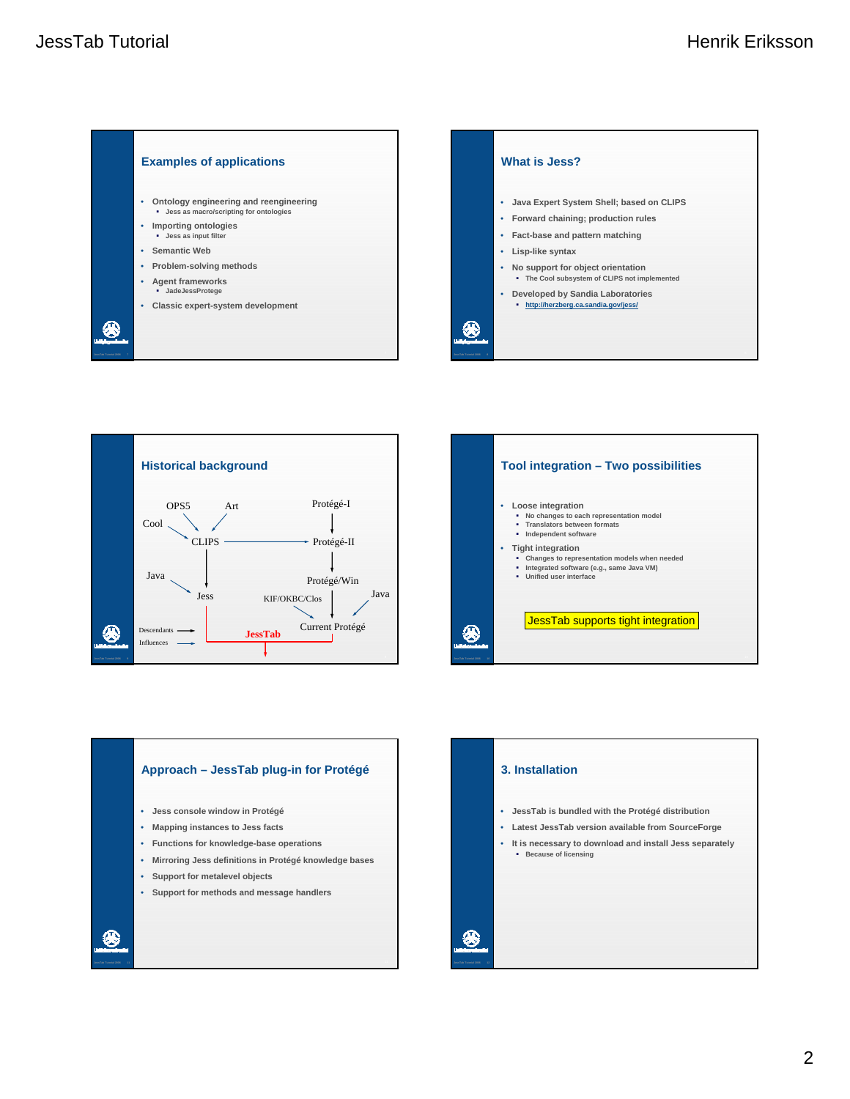









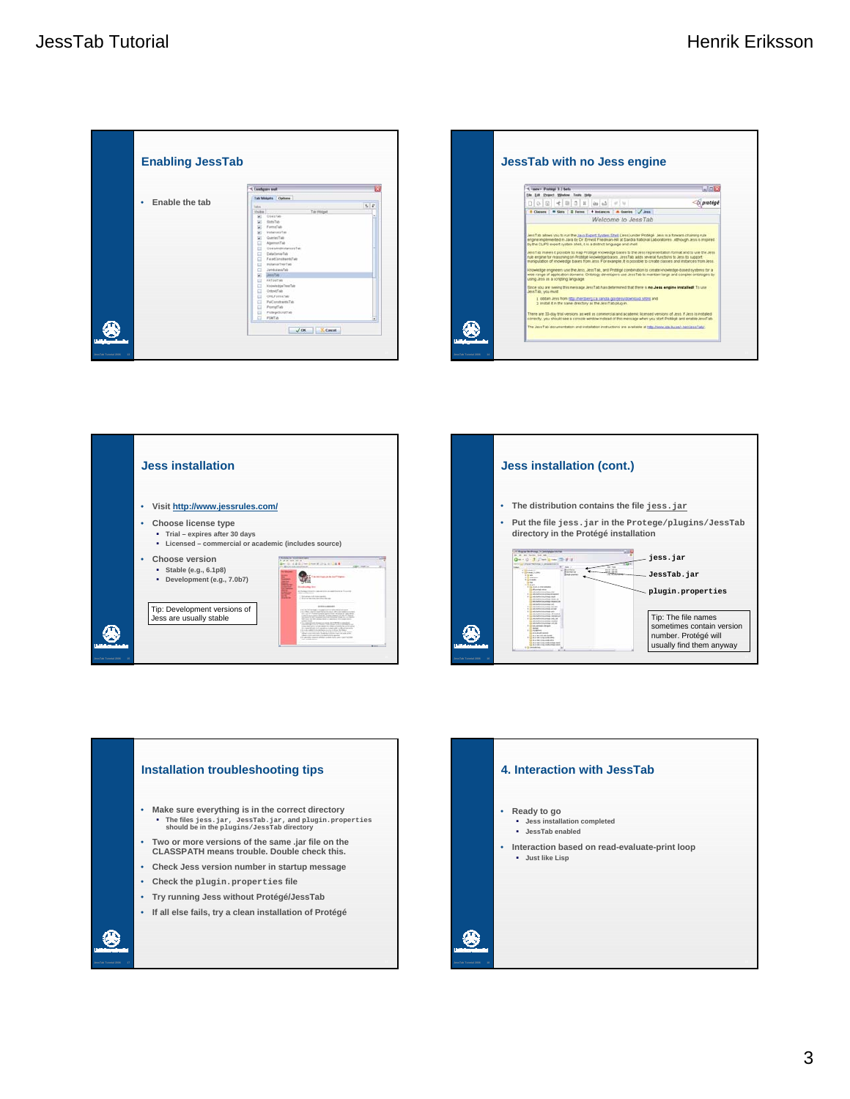









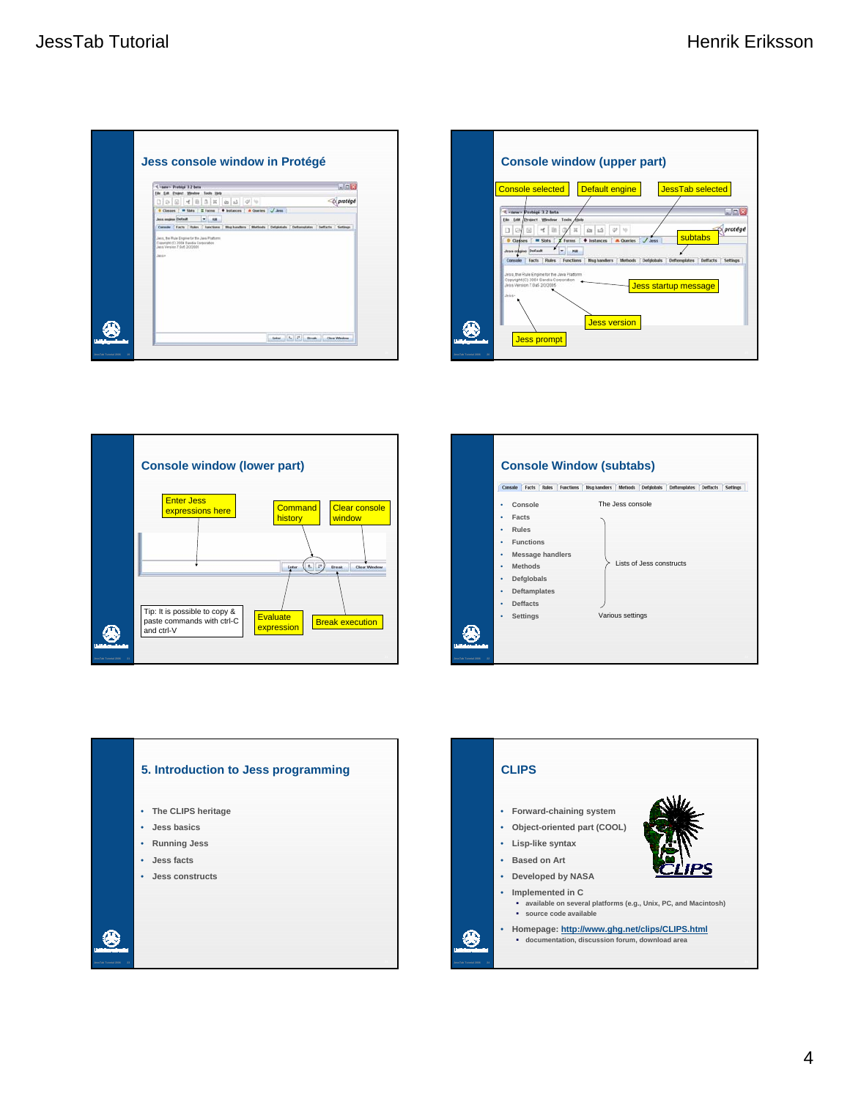









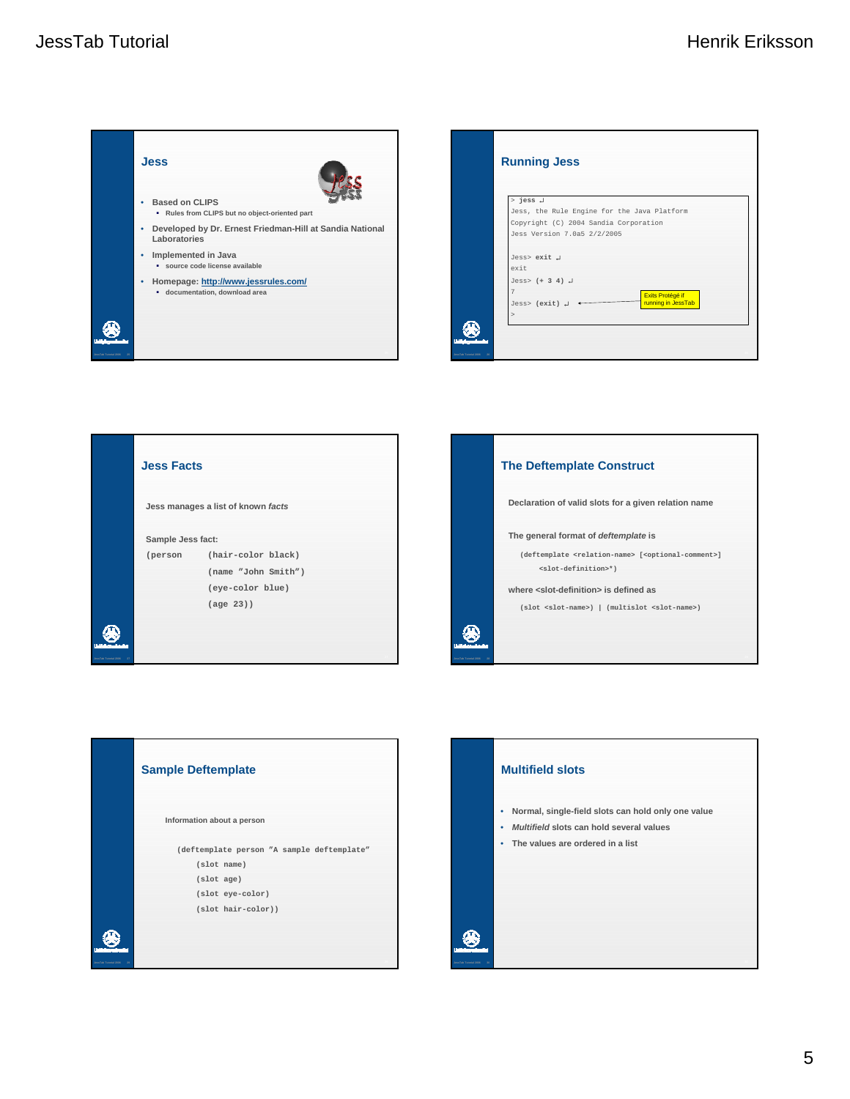





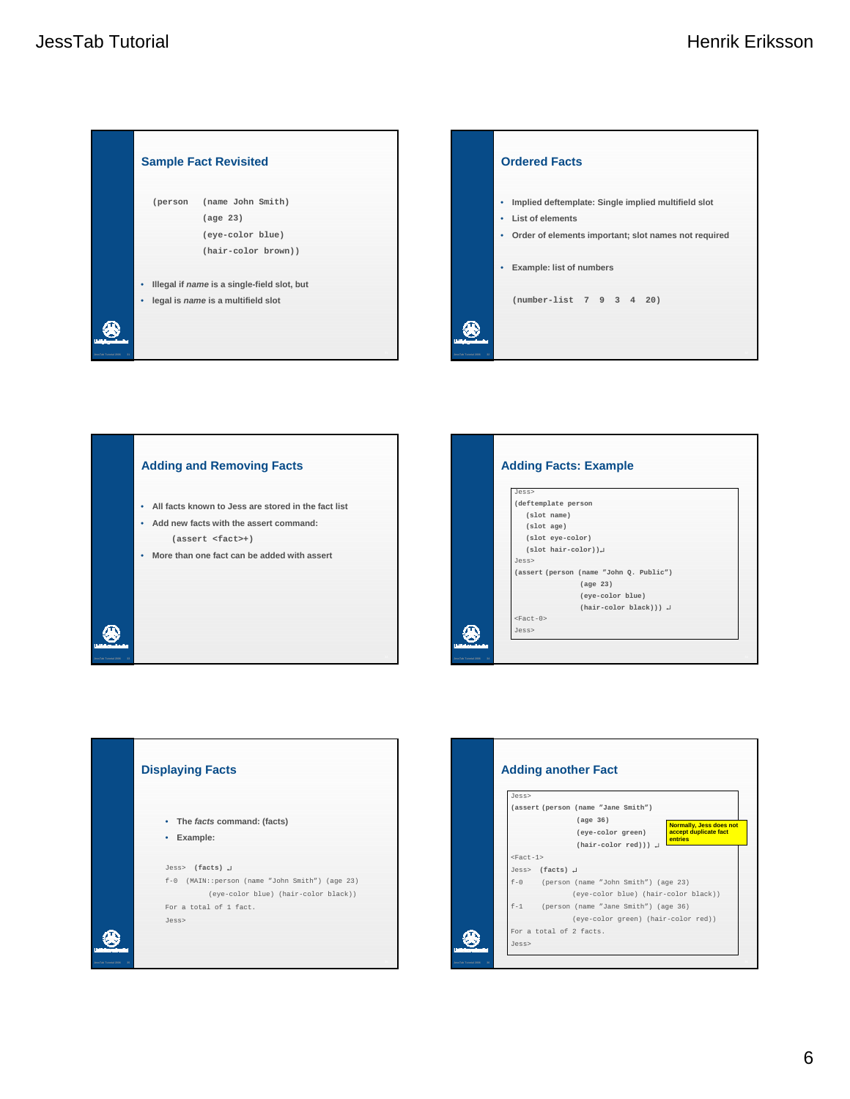





## **Adding Facts: Example** Jess> **(deftemplate person (slot name) (slot age) (slot eye-color) (slot hair-color))**↵ Jess> **(assert (person (name "John Q. Public") (age 23) (eye-color blue) (hair-color black)))** ↵  $<$ Fact-0> ⊛ Jess> 34 **JessTab Tutorial 2006 34**



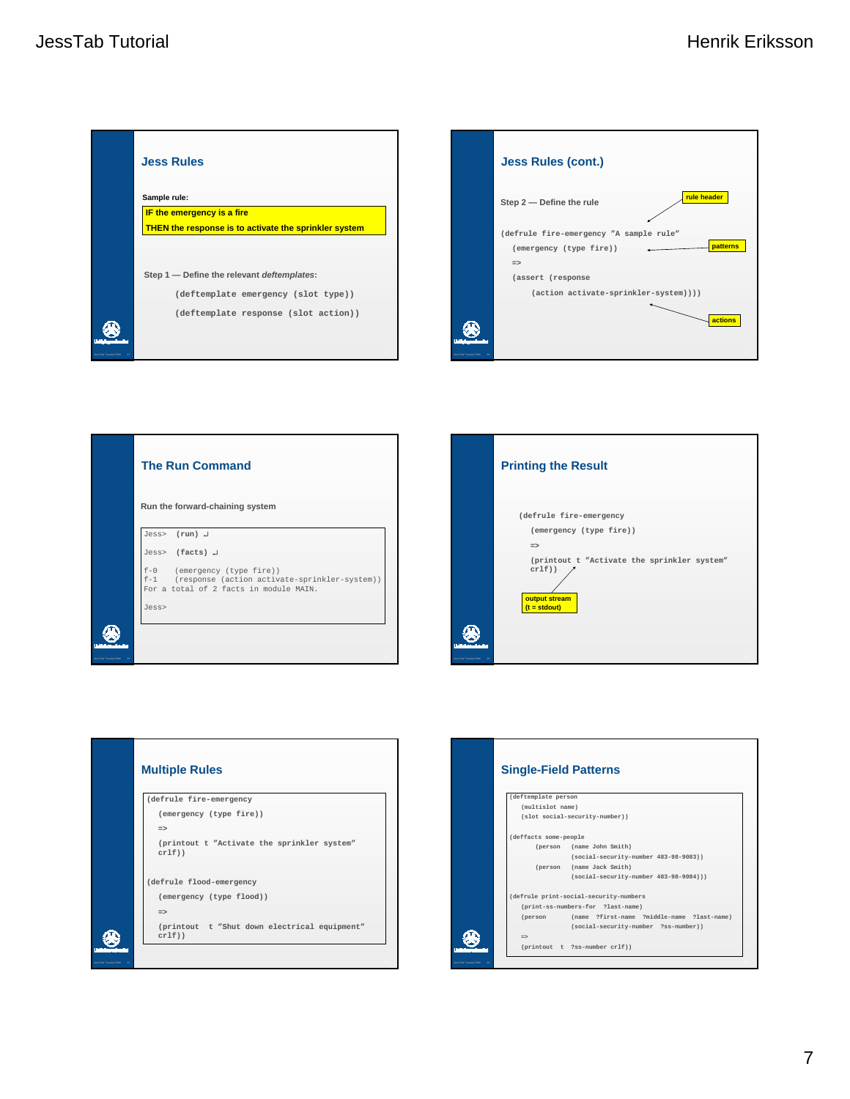









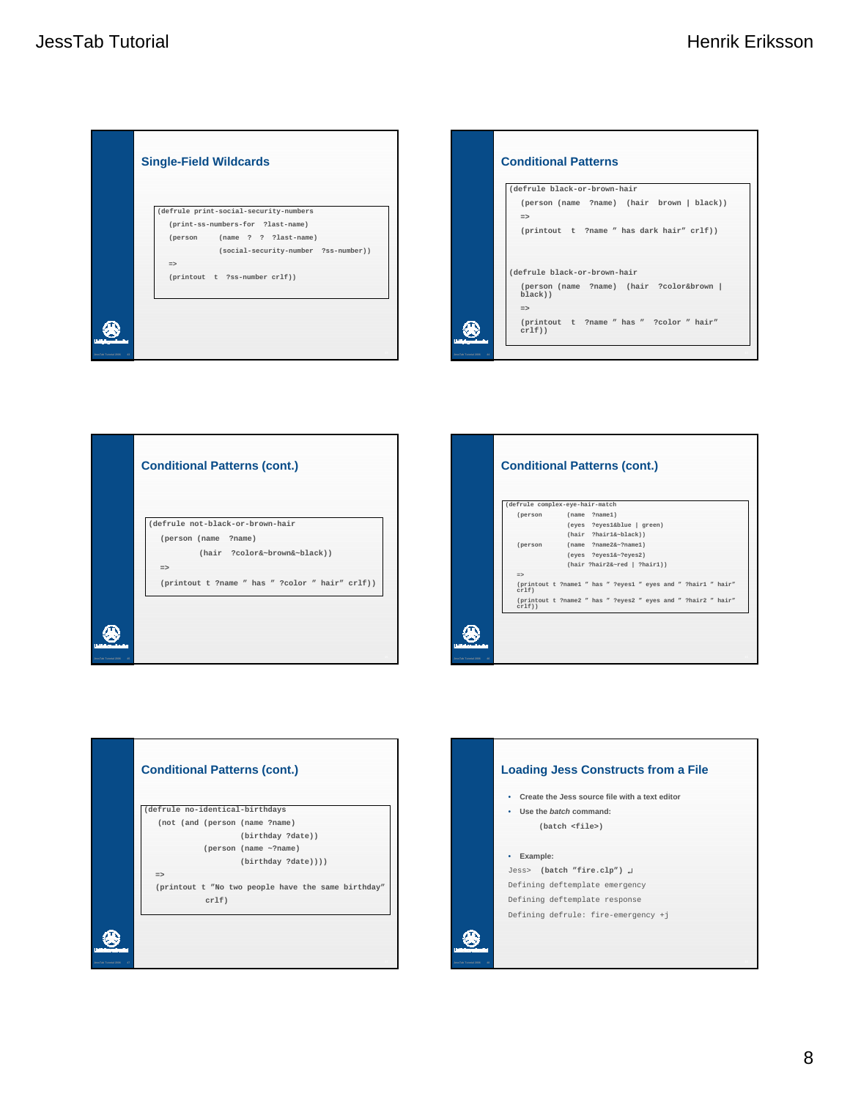









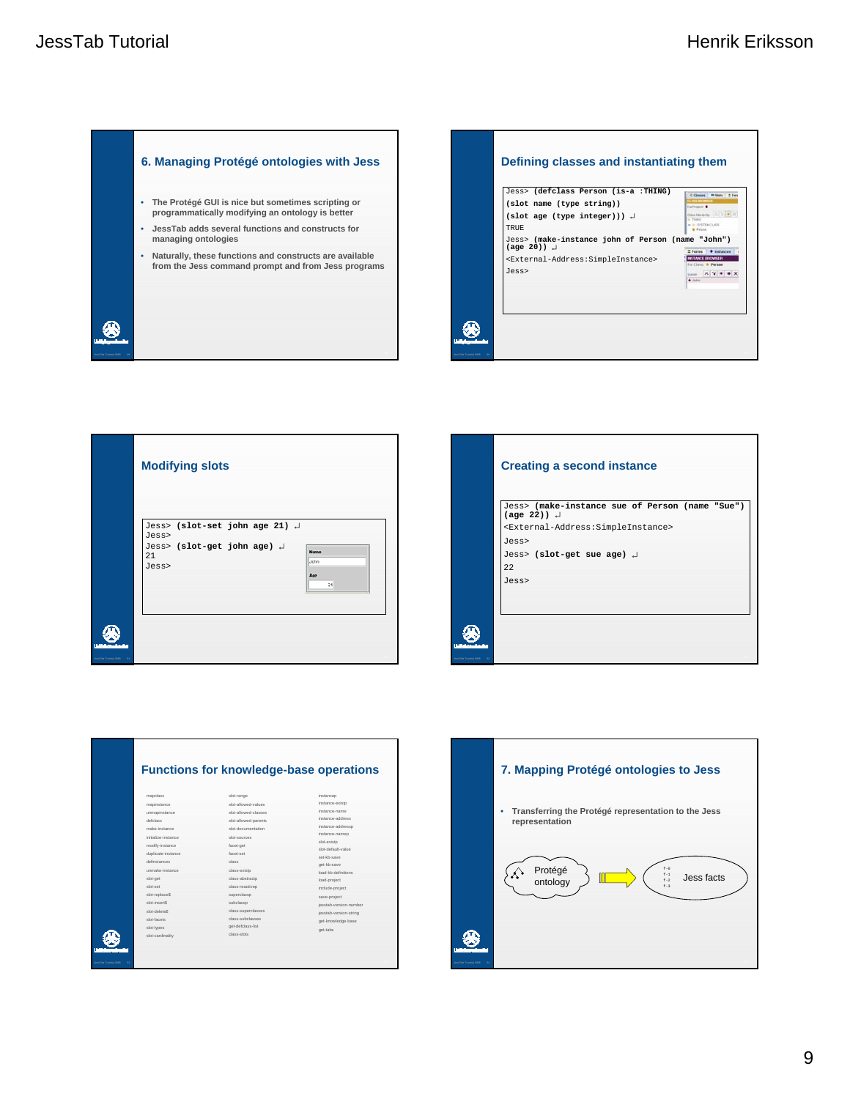





|                      | <b>Creating a second instance</b>                                                    |
|----------------------|--------------------------------------------------------------------------------------|
|                      | Jess> (make-instance sue of Person (name "Sue")<br>$(\text{age } 22)$ ) $\downarrow$ |
|                      | <external-address: simpleinstance=""></external-address:>                            |
|                      | Jess>                                                                                |
|                      | Jess> (slot-get sue age) +<br>22                                                     |
|                      | Jess>                                                                                |
|                      |                                                                                      |
|                      |                                                                                      |
| JessTab Tutorial 200 |                                                                                      |

|                                   |                     | <b>Functions for knowledge-base operations</b> |                        |
|-----------------------------------|---------------------|------------------------------------------------|------------------------|
|                                   | mapclass            | slot-range                                     | instancep              |
|                                   | mapinstance         | seulev-bewelle-tols                            | instance-existo        |
|                                   | unmapinstance       | slot-allowed-classes                           | instance-name          |
|                                   | defolass            | slot-allowed-parents                           | instance-address       |
|                                   | make-instance       | slot-documentation                             | instance-addressp      |
|                                   | initialize-instance | sint-sources                                   | instance-namep         |
|                                   | modify-instance     | facet-get                                      | slot-existo            |
|                                   | duplicate-instance  | facet-set                                      | eulev-tlusteb-tola     |
|                                   | definstances        | dass                                           | set-kh-save            |
|                                   | unmake-instance     | class-existo                                   | get-kb-save            |
|                                   |                     | class-abstracto                                | load-kh-definitions    |
|                                   | slot-get            |                                                | load-project           |
|                                   | the-trip            | class-reactiveo                                | include-project        |
|                                   | slot-replace\$      | superclassp                                    | save-project           |
|                                   | slot-insertS        | subclasso                                      | iesstab-version-number |
|                                   | <b>Reteleb-tole</b> | class-superclasses                             | iesstab-version-string |
|                                   | sint-facets         | class-subclasses                               | get-knowledge-base     |
|                                   | slot-types          | get-defclass-list                              | get-tabs               |
|                                   | slot-cardinality    | class-sints                                    |                        |
|                                   |                     |                                                |                        |
|                                   |                     |                                                |                        |
| <b>JessTab Tutorial 2006</b><br>s |                     |                                                |                        |

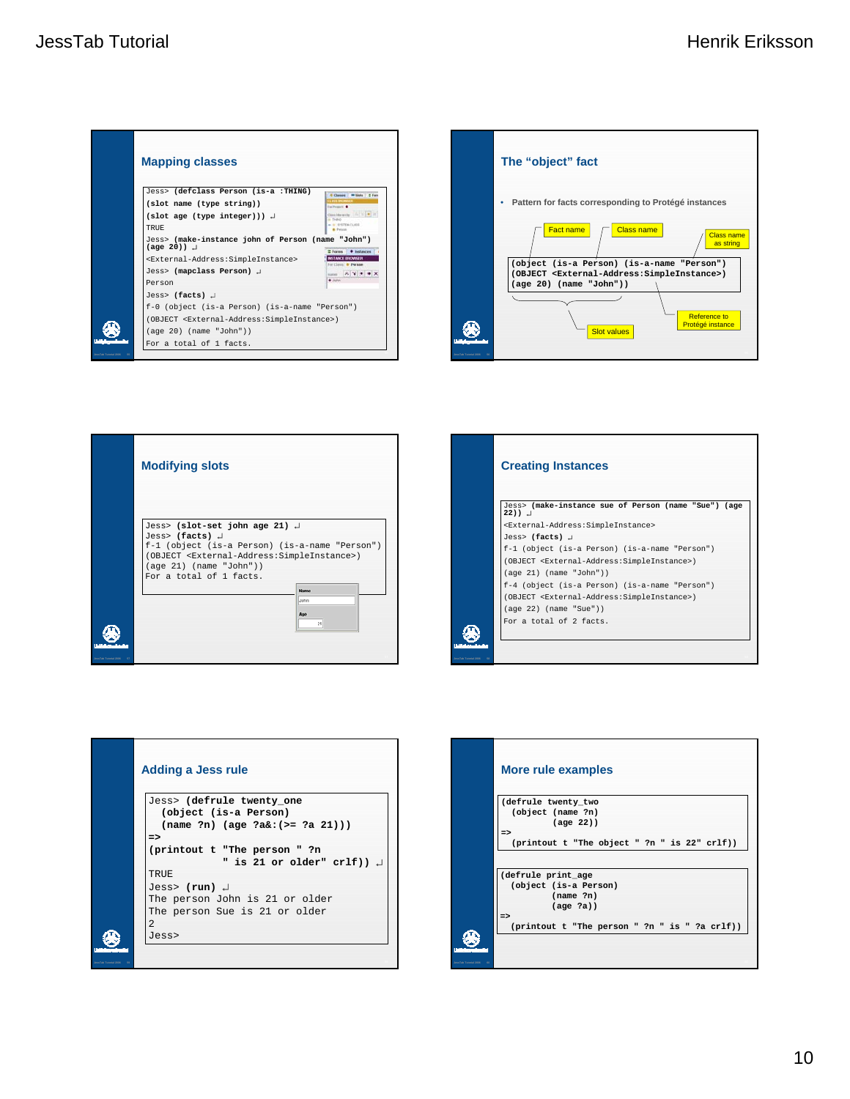









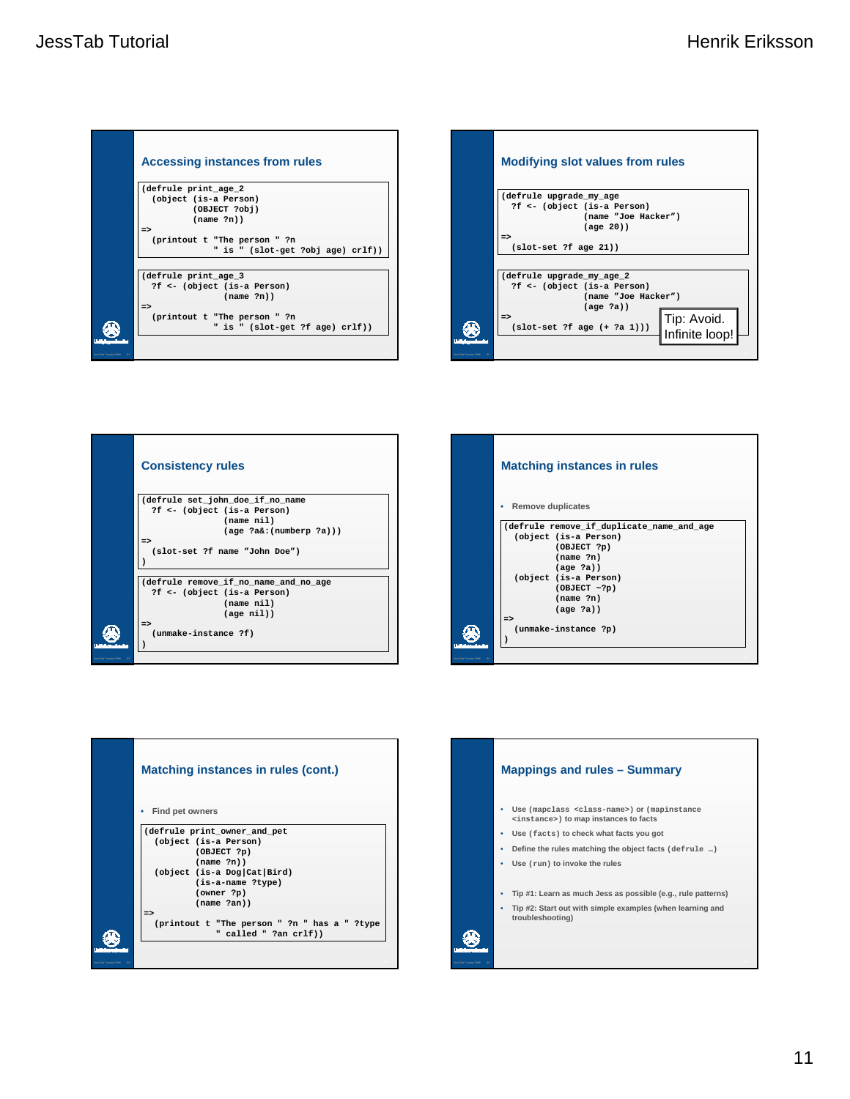| <b>Accessing instances from rules</b>                                              |
|------------------------------------------------------------------------------------|
| (defrule print age 2<br>(object (is-a Person)<br>(OBJECT ?obj)<br>(name ?n)        |
| $\Rightarrow$<br>(printout t "The person " ?n<br>" is " (slot-get ?obj age) crlf)) |
| (defrule print age 3<br>?f <- (object (is-a Person)<br>(name ?n)                   |
| $\Rightarrow$<br>(printout t "The person " ?n<br>" is " (slot-get ?f age) crlf))   |
|                                                                                    |









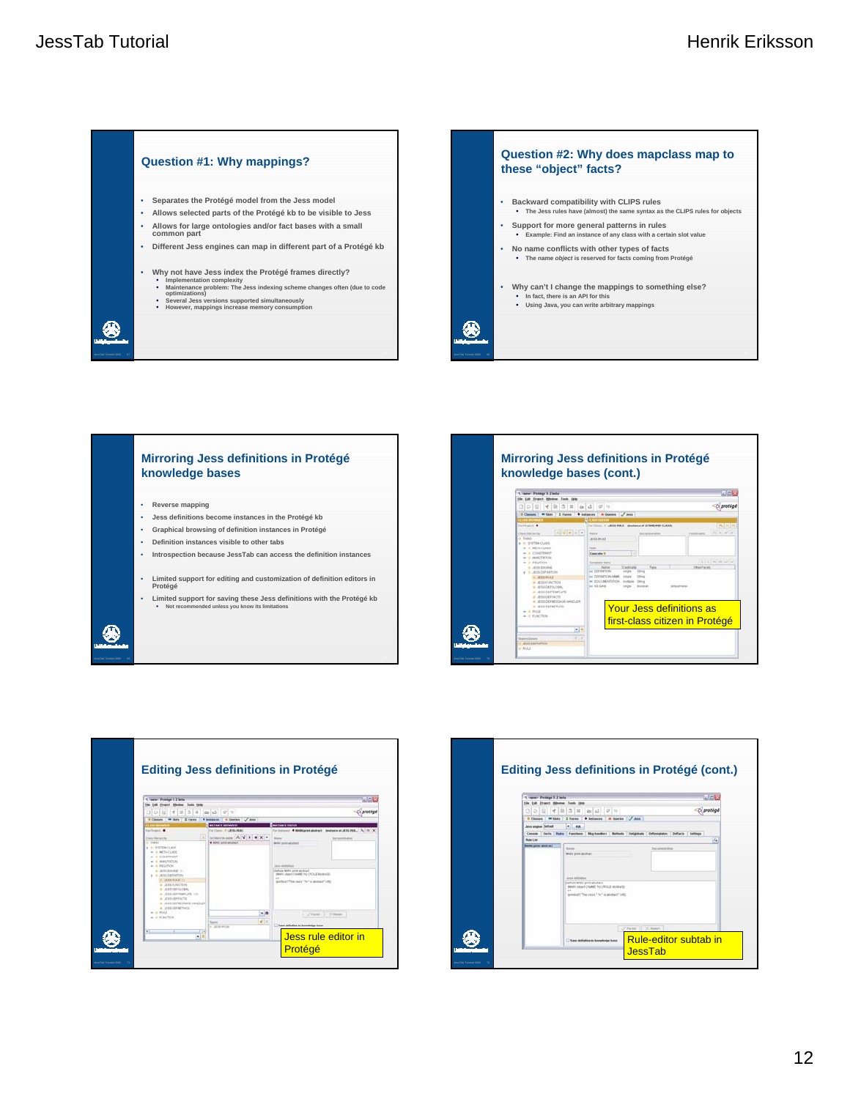









69 **JessTab Tutorial 2006 69**

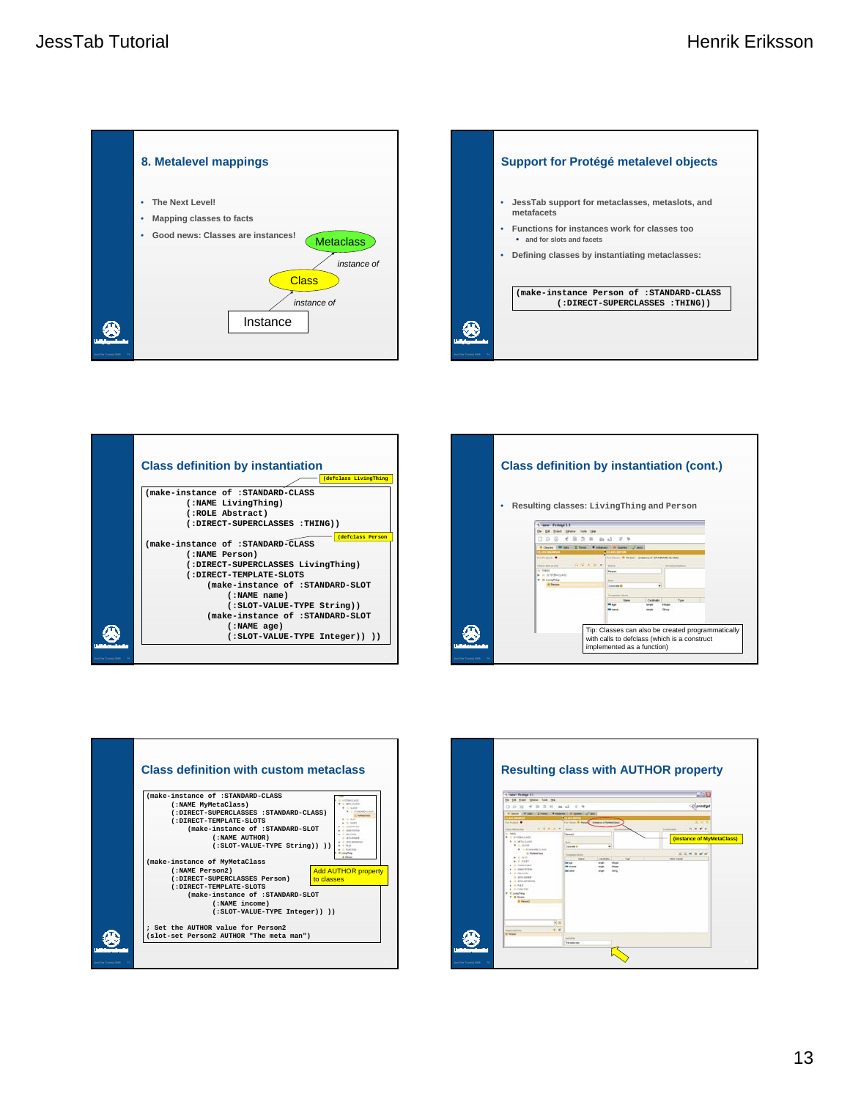









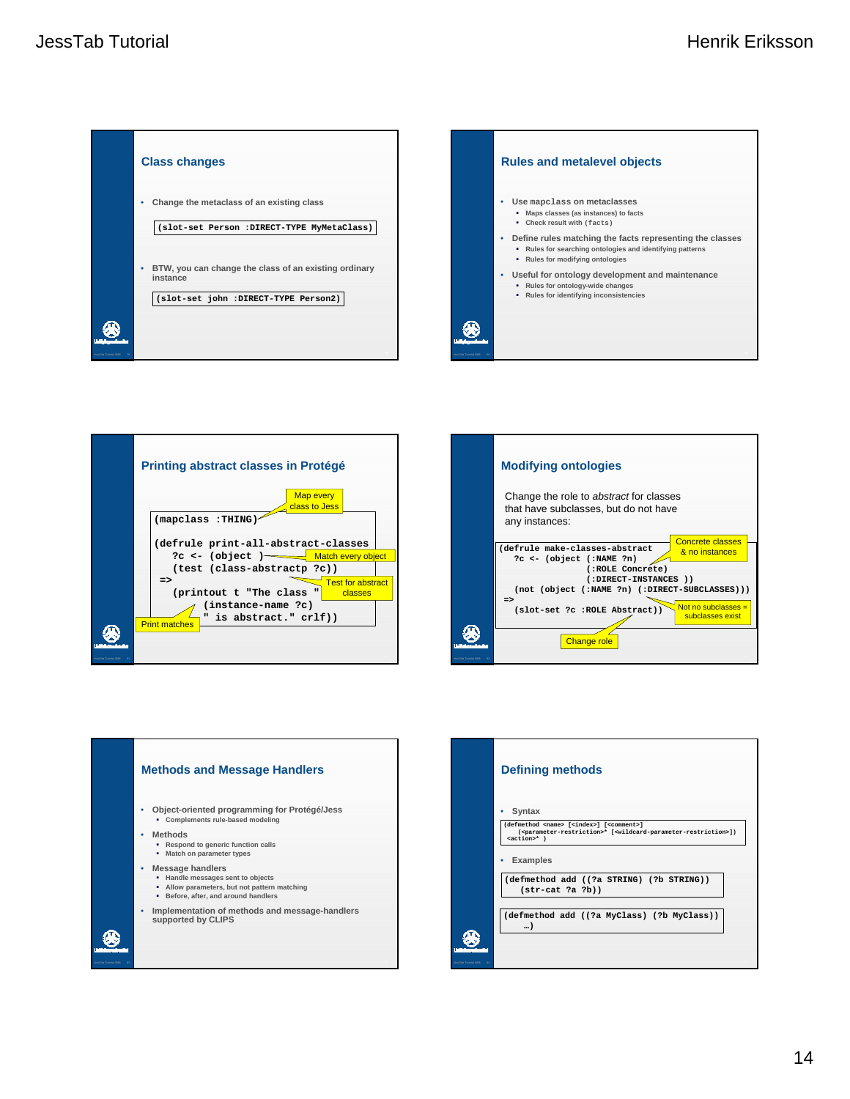







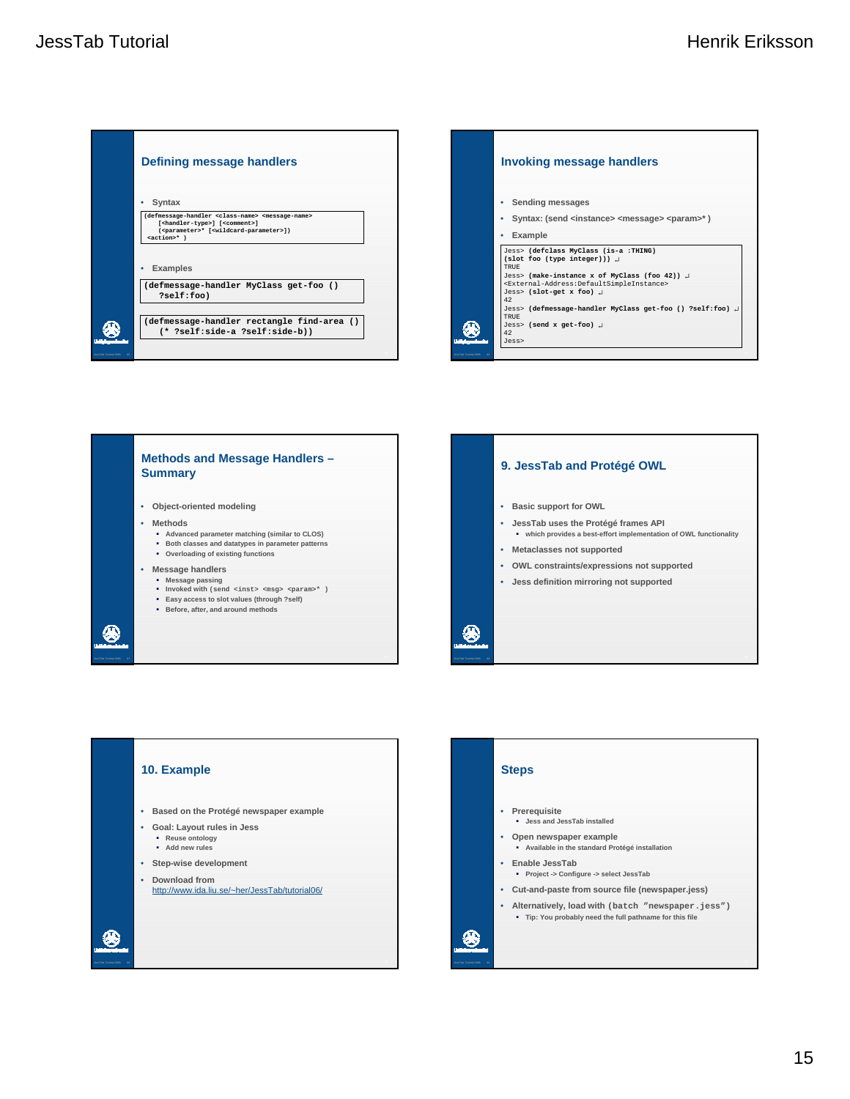







## **Steps**

❀

- **Prerequisite Jess and JessTab installed**
- **Open newspaper example Available in the standard Protégé installation**
- **Enable JessTab**
	- **Project -> Configure -> select JessTab**
- **Cut-and-paste from source file (newspaper.jess)**
- **Alternatively, load with (batch "newspaper.jess") Tip: You probably need the full pathname for this file**

90 **JessTab Tutorial 2006 90**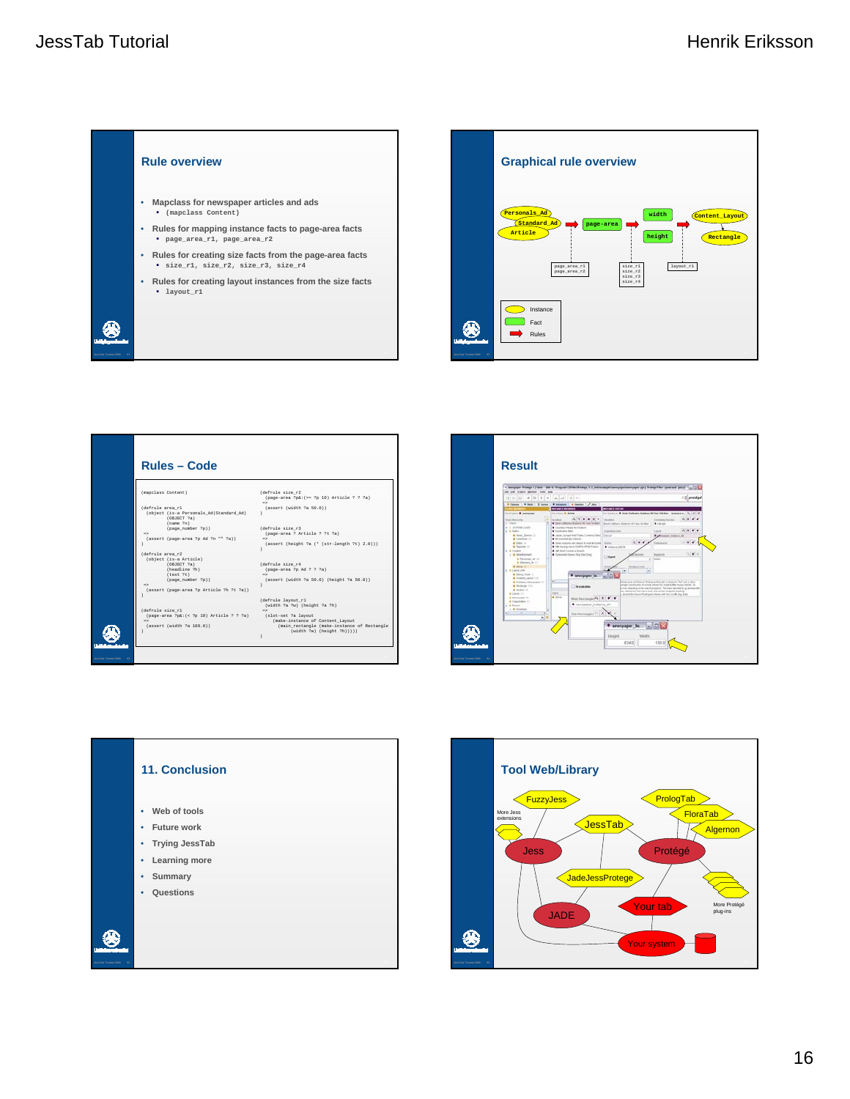